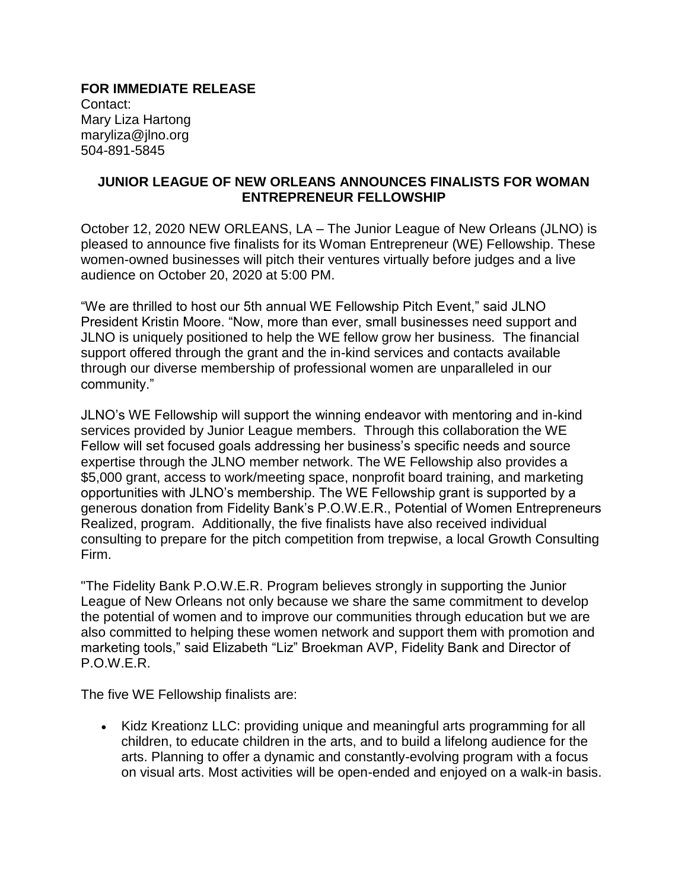**FOR IMMEDIATE RELEASE** Contact: Mary Liza Hartong maryliza@jlno.org 504-891-5845

## **JUNIOR LEAGUE OF NEW ORLEANS ANNOUNCES FINALISTS FOR WOMAN ENTREPRENEUR FELLOWSHIP**

October 12, 2020 NEW ORLEANS, LA – The Junior League of New Orleans (JLNO) is pleased to announce five finalists for its Woman Entrepreneur (WE) Fellowship. These women-owned businesses will pitch their ventures virtually before judges and a live audience on October 20, 2020 at 5:00 PM.

"We are thrilled to host our 5th annual WE Fellowship Pitch Event," said JLNO President Kristin Moore. "Now, more than ever, small businesses need support and JLNO is uniquely positioned to help the WE fellow grow her business. The financial support offered through the grant and the in-kind services and contacts available through our diverse membership of professional women are unparalleled in our community."

JLNO's WE Fellowship will support the winning endeavor with mentoring and in-kind services provided by Junior League members. Through this collaboration the WE Fellow will set focused goals addressing her business's specific needs and source expertise through the JLNO member network. The WE Fellowship also provides a \$5,000 grant, access to work/meeting space, nonprofit board training, and marketing opportunities with JLNO's membership. The WE Fellowship grant is supported by a generous donation from Fidelity Bank's P.O.W.E.R., Potential of Women Entrepreneurs Realized, program. Additionally, the five finalists have also received individual consulting to prepare for the pitch competition from trepwise, a local Growth Consulting Firm.

"The Fidelity Bank P.O.W.E.R. Program believes strongly in supporting the Junior League of New Orleans not only because we share the same commitment to develop the potential of women and to improve our communities through education but we are also committed to helping these women network and support them with promotion and marketing tools," said Elizabeth "Liz" Broekman AVP, Fidelity Bank and Director of P.O.W.E.R.

The five WE Fellowship finalists are:

• Kidz Kreationz LLC: providing unique and meaningful arts programming for all children, to educate children in the arts, and to build a lifelong audience for the arts. Planning to offer a dynamic and constantly-evolving program with a focus on visual arts. Most activities will be open-ended and enjoyed on a walk-in basis.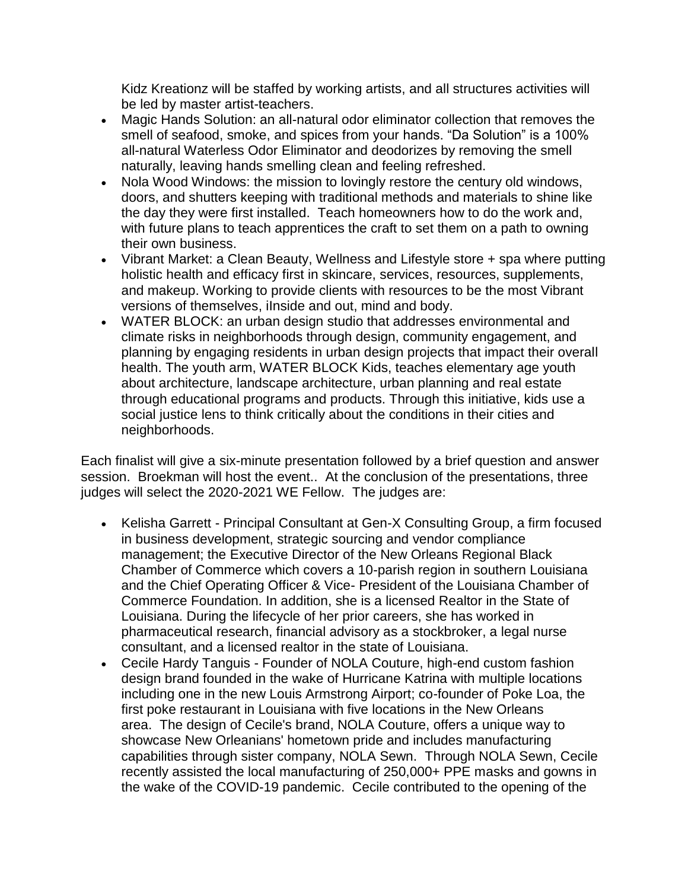Kidz Kreationz will be staffed by working artists, and all structures activities will be led by master artist-teachers.

- Magic Hands Solution: an all-natural odor eliminator collection that removes the smell of seafood, smoke, and spices from your hands. "Da Solution" is a 100% all-natural Waterless Odor Eliminator and deodorizes by removing the smell naturally, leaving hands smelling clean and feeling refreshed.
- Nola Wood Windows: the mission to lovingly restore the century old windows, doors, and shutters keeping with traditional methods and materials to shine like the day they were first installed. Teach homeowners how to do the work and, with future plans to teach apprentices the craft to set them on a path to owning their own business.
- Vibrant Market: a Clean Beauty, Wellness and Lifestyle store + spa where putting holistic health and efficacy first in skincare, services, resources, supplements, and makeup. Working to provide clients with resources to be the most Vibrant versions of themselves, iInside and out, mind and body.
- WATER BLOCK: an urban design studio that addresses environmental and climate risks in neighborhoods through design, community engagement, and planning by engaging residents in urban design projects that impact their overall health. The youth arm, WATER BLOCK Kids, teaches elementary age youth about architecture, landscape architecture, urban planning and real estate through educational programs and products. Through this initiative, kids use a social justice lens to think critically about the conditions in their cities and neighborhoods.

Each finalist will give a six-minute presentation followed by a brief question and answer session. Broekman will host the event.. At the conclusion of the presentations, three judges will select the 2020-2021 WE Fellow. The judges are:

- Kelisha Garrett Principal Consultant at Gen-X Consulting Group, a firm focused in business development, strategic sourcing and vendor compliance management; the Executive Director of the New Orleans Regional Black Chamber of Commerce which covers a 10-parish region in southern Louisiana and the Chief Operating Officer & Vice- President of the Louisiana Chamber of Commerce Foundation. In addition, she is a licensed Realtor in the State of Louisiana. During the lifecycle of her prior careers, she has worked in pharmaceutical research, financial advisory as a stockbroker, a legal nurse consultant, and a licensed realtor in the state of Louisiana.
- Cecile Hardy Tanguis Founder of NOLA Couture, high-end custom fashion design brand founded in the wake of Hurricane Katrina with multiple locations including one in the new Louis Armstrong Airport; co-founder of Poke Loa, the first poke restaurant in Louisiana with five locations in the New Orleans area. The design of Cecile's brand, NOLA Couture, offers a unique way to showcase New Orleanians' hometown pride and includes manufacturing capabilities through sister company, NOLA Sewn. Through NOLA Sewn, Cecile recently assisted the local manufacturing of 250,000+ PPE masks and gowns in the wake of the COVID-19 pandemic. Cecile contributed to the opening of the